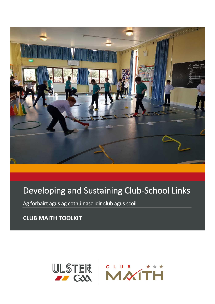

# Developing and Sustaining Club-School Links

Ag forbairt agus ag cothú nasc idir club agus scoil

**CLUB MAITH TOOLKIT**

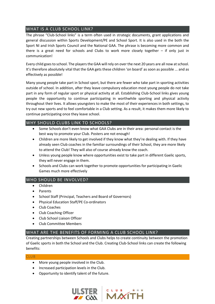# WHAT IS A CLUB SCHOOL LINK?

The phrase "Club-School links" is a term often used in strategic documents, grant applications and general discussion within Sports Development/PE and School Sport. It is also used in the both the Sport NI and Irish Sports Council and the National GAA. The phrase is becoming more common and there is a great need for schools and Clubs to work more closely together – if only just in communication!

Every child goes to school. The players the GAA will rely on over the next 20 years are all now at school. It's therefore absolutely vital that the GAA gets these children 'on board' as soon as possible ... and as effectively as possible!

Many young people take part in School sport, but there are fewer who take part in sporting activities outside of school. In addition, after they leave compulsory education most young people do not take part in any form of regular sport or physical activity at all. Establishing Club-School links gives young people the opportunity to continue participating in worthwhile sporting and physical activity throughout their lives. It allows youngsters to make the most of their experiences in both settings, to try out new sports and to feel comfortable in a Club setting. As a result, it makes them more likely to continue participating once they leave school.

# WHY SHOULD CLUBS LINK TO SCHOOLS?

- Some Schools don't even know what GAA Clubs are in their area: personal contact is the best way to promote your Club. Posters are not enough!
- Children are more likely to get involved if they know what they're dealing with. If they have already seen Club coaches in the familiar surroundings of their School, they are more likely to attend the Club! They will also of course already know the coach.
- Unless young people know where opportunities exist to take part in different Gaelic sports, they will never engage in them.
- Schools and Clubs can work together to promote opportunities for participating in Gaelic Games much more effectively

# WHO SHOULD BE INVOLVED?

- Children
- Parents
- School Staff (Principal, Teachers and Board of Governors)
- Physical Education Staff/PE Co-ordinators
- Club Coaches
- Club Coaching Officer
- Club School Liaison Officer
- Club Committee Members

# WHAT ARE THE BENEFITS OF FORMING A CLUB SCHOOL LINK?

Creating partnerships between Schools and Clubs helps to create continuity between the promotion of Gaelic sports in both the School and the Club. Creating Club-School links can create the following benefits:

## CLUB

- More young people involved in the Club.
- Increased participation levels in the Club.
- Opportunity to identify talent of the future.

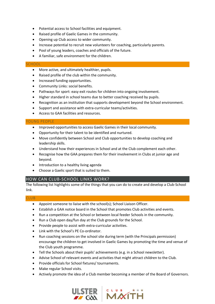- Potential access to School facilities and equipment.
- Raised profile of Gaelic Games in the community.
- Opening up Club access to wider community.
- Increase potential to recruit new volunteers for coaching, particularly parents.
- Pool of young leaders, coaches and officials of the future.
- A familiar, safe environment for the children.

## **SCHOOL**

- More active, and ultimately healthier, pupils.
- Raised profile of the club within the community.
- Increased funding opportunities.
- Community Links: social benefits.
- Pathways for sport: easy exit routes for children into ongoing involvement.
- Higher standard in school teams due to better coaching received by pupils.
- Recognition as an institution that supports development beyond the School environment.
- Support and assistance with extra-curricular teams/activities.
- Access to GAA facilities and resources.

## YOUNG PEOPLE

- Improved opportunities to access Gaelic Games in their local community.
- Opportunity for their talent to be identified and nurtured.
- Move confidently between School and Club opportunities to develop coaching and leadership skills.
- Understand how their experiences in School and at the Club complement each other.
- Recognise how the GAA prepares them for their involvement in Clubs at junior age and beyond.
- Introduction to a healthy living agenda
- Choose a Gaelic sport that is suited to them.

## HOW CAN CLUB-SCHOOL LINKS WORK?

The following list highlights some of the things that you can do to create and develop a Club-School link.

## CLUB

- Appoint someone to liaise with the school(s); School Liaison Officer.
- Establish a GAA notice board in the School that promotes Club activities and events.
- Run a competition at the School or between local feeder Schools in the community.
- Run a Club open day/fun day at the Club grounds for the School.
- Provide people to assist with extra-curricular activities.
- Link with the School's PE Co-ordinator.
- Run coaching sessions on the school site during term (with the Principals permission) encourage the children to get involved in Gaelic Games by promoting the time and venue of the Club youth programme.
- Tell the Schools about their pupils' achievements (e.g. in a School newsletter).
- Advise School of relevant events and activities that might attract children to the Club.
- Provide officials for School fixtures/ tournaments.
- Make regular School visits.
- Actively promote the idea of a Club member becoming a member of the Board of Governors.



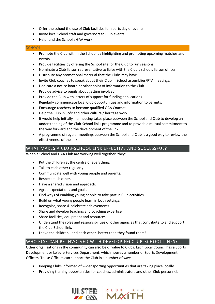- Offer the school the use of Club facilities for sports day or events.
- Invite local School staff and governors to Club events.
- Help fund the School's GAA work

## **SCHOOL**

- Promote the Club within the School by highlighting and promoting upcoming matches and events.
- Provide facilities by offering the School site for the Club to run sessions.
- Nominate a Club liaison representative to liaise with the Club's schools liaison officer.
- Distribute any promotional material that the Clubs may have.
- Invite Club coaches to speak about their Club in School assemblies/PTA meetings.
- Dedicate a notice board or other point of information to the Club.
- Provide advice to pupils about getting involved.
- Provide the Club with letters of support for funding applications.
- Regularly communicate local Club opportunities and information to parents.
- Encourage teachers to become qualified GAA Coaches.
- Help the Club in Scór and other cultural/ heritage work.
- It would help initially if a meeting takes place between the School and Club to develop an understanding of the Club-School links programme and to provide a mutual commitment to the way forward and the development of the link.
- A programme of regular meetings between the School and Club is a good way to review the effectiveness of the link.

# WHAT MAKES A CLUB-SCHOOL LINK EFFECTIVE AND SUCCESSFUL?

When a School and GAA Club are working well together, they:

- Put the children at the centre of everything.
- Talk to each other regularly.
- Communicate well with young people and parents.
- Respect each other.
- Have a shared vision and approach.
- Agree expectations and goals.
- Find ways of enabling young people to take part in Club activities.
- Build on what young people learn in both settings.
- Recognise, share & celebrate achievements
- Share and develop teaching and coaching expertise.
- Share facilities, equipment and resources.
- Understand the roles and responsibilities of other agencies that contribute to and support the Club-School link.
- Leave the children and each other- better than they found them!

# WHO ELSE CAN BE INVOLVED WITH DEVELOPING CLUB-SCHOOL LINKS?

Other organisations in the community can also be of value to Clubs. Each Local Council has a Sports Development or Leisure Services Department, which houses a number of Sports Development Officers. These Officers can support the Club in a number of ways:

- Keeping Clubs informed of wider sporting opportunities that are taking place locally.
- Providing training opportunities for coaches, administrators and other Club personnel.